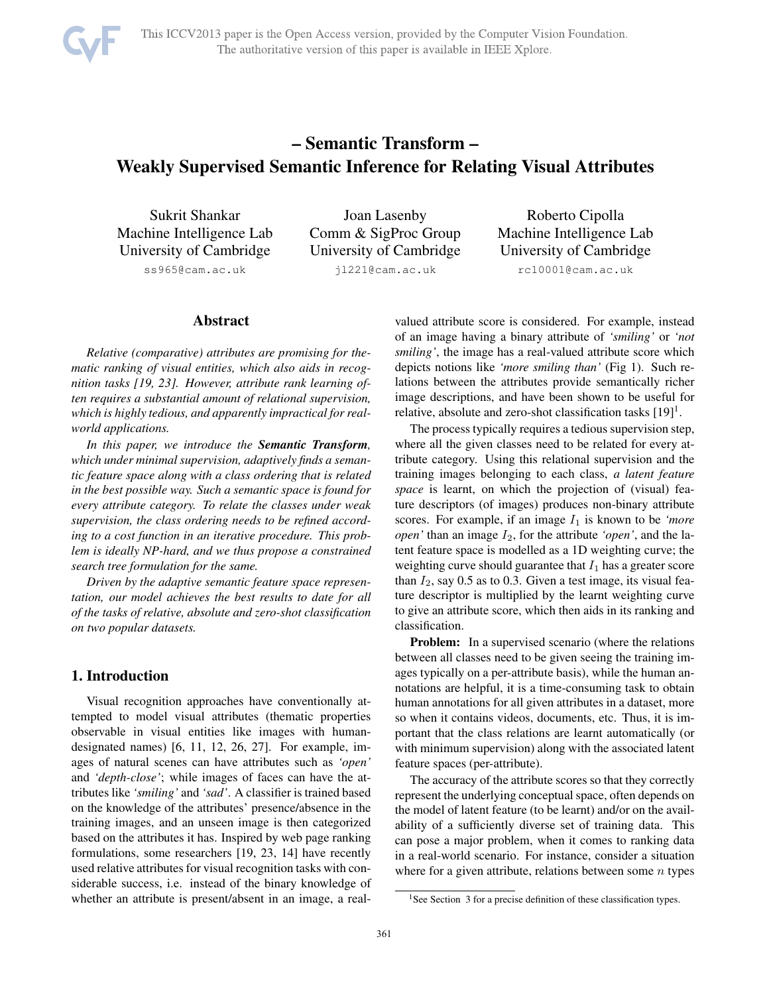

# – Semantic Transform – Weakly Supervised Semantic Inference for Relating Visual Attributes

Sukrit Shankar Machine Intelligence Lab University of Cambridge ss965@cam.ac.uk

Joan Lasenby Comm & SigProc Group University of Cambridge jl221@cam.ac.uk

Roberto Cipolla Machine Intelligence Lab University of Cambridge rc10001@cam.ac.uk

# Abstract

*Relative (comparative) attributes are promising for thematic ranking of visual entities, which also aids in recognition tasks [19, 23]. However, attribute rank learning often requires a substantial amount of relational supervision, which is highly tedious, and apparently impractical for realworld applications.*

*In this paper, we introduce the Semantic Transform, which under minimal supervision, adaptively finds a semantic feature space along with a class ordering that is related in the best possible way. Such a semantic space is found for every attribute category. To relate the classes under weak supervision, the class ordering needs to be refined according to a cost function in an iterative procedure. This problem is ideally NP-hard, and we thus propose a constrained search tree formulation for the same.*

*Driven by the adaptive semantic feature space representation, our model achieves the best results to date for all of the tasks of relative, absolute and zero-shot classification on two popular datasets.*

# 1. Introduction

Visual recognition approaches have conventionally attempted to model visual attributes (thematic properties observable in visual entities like images with humandesignated names) [6, 11, 12, 26, 27]. For example, images of natural scenes can have attributes such as *'open'* and *'depth-close'*; while images of faces can have the attributes like *'smiling'* and *'sad'*. A classifier is trained based on the knowledge of the attributes' presence/absence in the training images, and an unseen image is then categorized based on the attributes it has. Inspired by web page ranking formulations, some researchers [19, 23, 14] have recently used relative attributes for visual recognition tasks with considerable success, i.e. instead of the binary knowledge of whether an attribute is present/absent in an image, a realvalued attribute score is considered. For example, instead of an image having a binary attribute of *'smiling'* or *'not smiling'*, the image has a real-valued attribute score which depicts notions like *'more smiling than'* (Fig 1). Such relations between the attributes provide semantically richer image descriptions, and have been shown to be useful for relative, absolute and zero-shot classification tasks  $[19]$ <sup>1</sup>.

The process typically requires a tedious supervision step, where all the given classes need to be related for every attribute category. Using this relational supervision and the training images belonging to each class, *a latent feature space* is learnt, on which the projection of (visual) feature descriptors (of images) produces non-binary attribute scores. For example, if an image  $I_1$  is known to be *'more open'* than an image  $I_2$ , for the attribute *'open'*, and the latent feature space is modelled as a 1D weighting curve; the weighting curve should guarantee that  $I_1$  has a greater score than  $I_2$ , say 0.5 as to 0.3. Given a test image, its visual feature descriptor is multiplied by the learnt weighting curve to give an attribute score, which then aids in its ranking and classification.

**Problem:** In a supervised scenario (where the relations between all classes need to be given seeing the training images typically on a per-attribute basis), while the human annotations are helpful, it is a time-consuming task to obtain human annotations for all given attributes in a dataset, more so when it contains videos, documents, etc. Thus, it is important that the class relations are learnt automatically (or with minimum supervision) along with the associated latent feature spaces (per-attribute).

The accuracy of the attribute scores so that they correctly represent the underlying conceptual space, often depends on the model of latent feature (to be learnt) and/or on the availability of a sufficiently diverse set of training data. This can pose a major problem, when it comes to ranking data in a real-world scenario. For instance, consider a situation where for a given attribute, relations between some  $n$  types

<sup>&</sup>lt;sup>1</sup>See Section  $3$  for a precise definition of these classification types.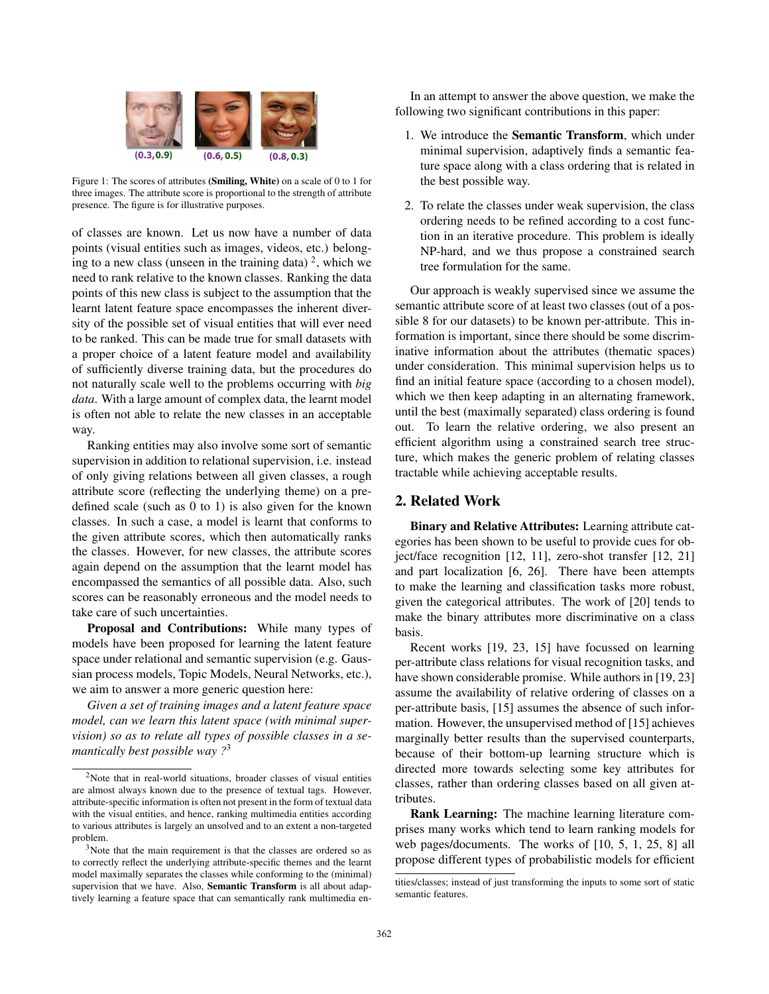

Figure 1: The scores of attributes (Smiling, White) on a scale of 0 to 1 for three images. The attribute score is proportional to the strength of attribute presence. The figure is for illustrative purposes.

of classes are known. Let us now have a number of data points (visual entities such as images, videos, etc.) belonging to a new class (unseen in the training data)  $2$ , which we need to rank relative to the known classes. Ranking the data points of this new class is subject to the assumption that the learnt latent feature space encompasses the inherent diversity of the possible set of visual entities that will ever need to be ranked. This can be made true for small datasets with a proper choice of a latent feature model and availability of sufficiently diverse training data, but the procedures do not naturally scale well to the problems occurring with *big data*. With a large amount of complex data, the learnt model is often not able to relate the new classes in an acceptable way.

Ranking entities may also involve some sort of semantic supervision in addition to relational supervision, i.e. instead of only giving relations between all given classes, a rough attribute score (reflecting the underlying theme) on a predefined scale (such as 0 to 1) is also given for the known classes. In such a case, a model is learnt that conforms to the given attribute scores, which then automatically ranks the classes. However, for new classes, the attribute scores again depend on the assumption that the learnt model has encompassed the semantics of all possible data. Also, such scores can be reasonably erroneous and the model needs to take care of such uncertainties.

Proposal and Contributions: While many types of models have been proposed for learning the latent feature space under relational and semantic supervision (e.g. Gaussian process models, Topic Models, Neural Networks, etc.), we aim to answer a more generic question here:

*Given a set of training images and a latent feature space model, can we learn this latent space (with minimal supervision) so as to relate all types of possible classes in a semantically best possible way ?*<sup>3</sup>

In an attempt to answer the above question, we make the following two significant contributions in this paper:

- 1. We introduce the Semantic Transform, which under minimal supervision, adaptively finds a semantic feature space along with a class ordering that is related in the best possible way.
- 2. To relate the classes under weak supervision, the class ordering needs to be refined according to a cost function in an iterative procedure. This problem is ideally NP-hard, and we thus propose a constrained search tree formulation for the same.

Our approach is weakly supervised since we assume the semantic attribute score of at least two classes (out of a possible 8 for our datasets) to be known per-attribute. This information is important, since there should be some discriminative information about the attributes (thematic spaces) under consideration. This minimal supervision helps us to find an initial feature space (according to a chosen model), which we then keep adapting in an alternating framework, until the best (maximally separated) class ordering is found out. To learn the relative ordering, we also present an efficient algorithm using a constrained search tree structure, which makes the generic problem of relating classes tractable while achieving acceptable results.

## 2. Related Work

Binary and Relative Attributes: Learning attribute categories has been shown to be useful to provide cues for object/face recognition [12, 11], zero-shot transfer [12, 21] and part localization [6, 26]. There have been attempts to make the learning and classification tasks more robust, given the categorical attributes. The work of [20] tends to make the binary attributes more discriminative on a class basis.

Recent works [19, 23, 15] have focussed on learning per-attribute class relations for visual recognition tasks, and have shown considerable promise. While authors in [19, 23] assume the availability of relative ordering of classes on a per-attribute basis, [15] assumes the absence of such information. However, the unsupervised method of [15] achieves marginally better results than the supervised counterparts, because of their bottom-up learning structure which is directed more towards selecting some key attributes for classes, rather than ordering classes based on all given attributes.

Rank Learning: The machine learning literature comprises many works which tend to learn ranking models for web pages/documents. The works of [10, 5, 1, 25, 8] all propose different types of probabilistic models for efficient

<sup>&</sup>lt;sup>2</sup>Note that in real-world situations, broader classes of visual entities are almost always known due to the presence of textual tags. However, attribute-specific information is often not present in the form of textual data with the visual entities, and hence, ranking multimedia entities according to various attributes is largely an unsolved and to an extent a non-targeted problem.

<sup>&</sup>lt;sup>3</sup>Note that the main requirement is that the classes are ordered so as to correctly reflect the underlying attribute-specific themes and the learnt model maximally separates the classes while conforming to the (minimal) supervision that we have. Also, **Semantic Transform** is all about adaptively learning a feature space that can semantically rank multimedia en-

tities/classes; instead of just transforming the inputs to some sort of static semantic features.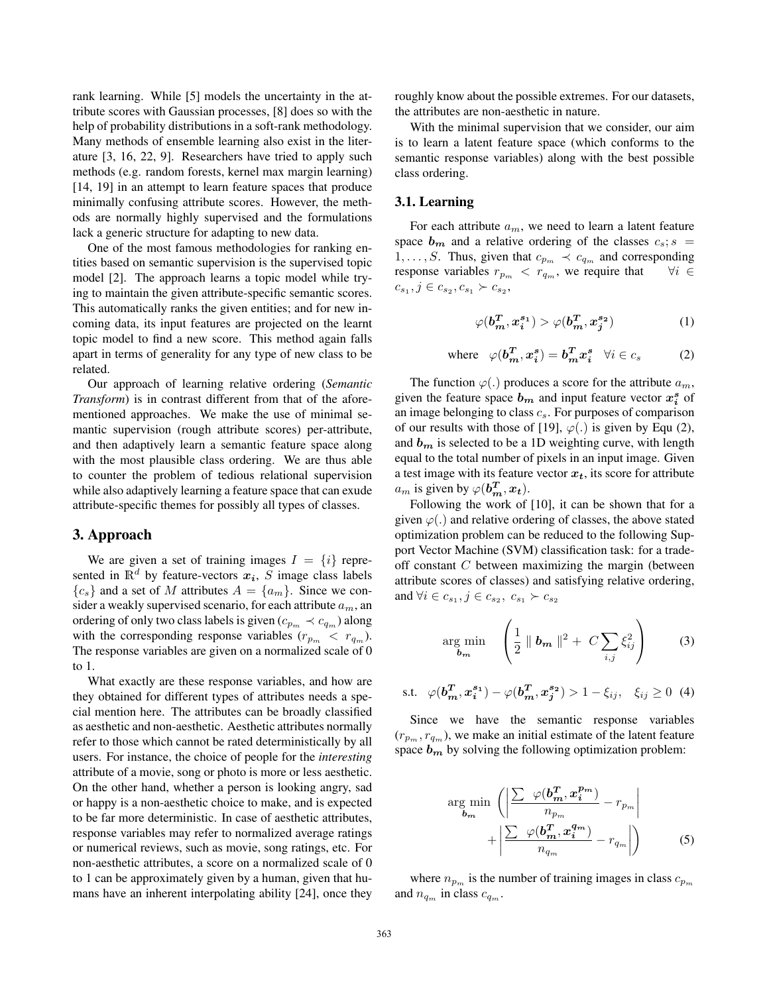rank learning. While [5] models the uncertainty in the attribute scores with Gaussian processes, [8] does so with the help of probability distributions in a soft-rank methodology. Many methods of ensemble learning also exist in the literature [3, 16, 22, 9]. Researchers have tried to apply such methods (e.g. random forests, kernel max margin learning) [14, 19] in an attempt to learn feature spaces that produce minimally confusing attribute scores. However, the methods are normally highly supervised and the formulations lack a generic structure for adapting to new data.

One of the most famous methodologies for ranking entities based on semantic supervision is the supervised topic model [2]. The approach learns a topic model while trying to maintain the given attribute-specific semantic scores. This automatically ranks the given entities; and for new incoming data, its input features are projected on the learnt topic model to find a new score. This method again falls apart in terms of generality for any type of new class to be related.

Our approach of learning relative ordering (*Semantic Transform*) is in contrast different from that of the aforementioned approaches. We make the use of minimal semantic supervision (rough attribute scores) per-attribute, and then adaptively learn a semantic feature space along with the most plausible class ordering. We are thus able to counter the problem of tedious relational supervision while also adaptively learning a feature space that can exude attribute-specific themes for possibly all types of classes.

#### 3. Approach

We are given a set of training images  $I = \{i\}$  represented in  $\mathbb{R}^d$  by feature-vectors  $x_i$ , S image class labels  ${c_s}$  and a set of M attributes  $A = {a_m}$ . Since we consider a weakly supervised scenario, for each attribute  $a_m$ , and ordering of only two class labels is given ( $c_{p_m} \prec c_{q_m}$ ) along with the corresponding response variables  $(r_{p_m} < r_{q_m})$ . The response variables are given on a normalized scale of 0 to 1.

What exactly are these response variables, and how are they obtained for different types of attributes needs a special mention here. The attributes can be broadly classified as aesthetic and non-aesthetic. Aesthetic attributes normally refer to those which cannot be rated deterministically by all users. For instance, the choice of people for the *interesting* attribute of a movie, song or photo is more or less aesthetic. On the other hand, whether a person is looking angry, sad or happy is a non-aesthetic choice to make, and is expected to be far more deterministic. In case of aesthetic attributes, response variables may refer to normalized average ratings or numerical reviews, such as movie, song ratings, etc. For non-aesthetic attributes, a score on a normalized scale of 0 to 1 can be approximately given by a human, given that humans have an inherent interpolating ability [24], once they

roughly know about the possible extremes. For our datasets, the attributes are non-aesthetic in nature.

With the minimal supervision that we consider, our aim is to learn a latent feature space (which conforms to the semantic response variables) along with the best possible class ordering.

#### 3.1. Learning

For each attribute  $a_m$ , we need to learn a latent feature space  $b_m$  and a relative ordering of the classes  $c_s$ ; s = 1,..., S. Thus, given that  $c_{p_m} \prec c_{q_m}$  and corresponding response variables  $r_{p_m} \prec r_{q_m}$ , we require that  $\forall i \in$ response variables  $r_{p_m} < r_{q_m}$ , we require that  $c_{s_1}, j \in c_{s_2}, c_{s_1} \succ c_{s_2},$ 

$$
\varphi(\boldsymbol{b}_{m}^{T}, \boldsymbol{x}_{i}^{s_{1}}) > \varphi(\boldsymbol{b}_{m}^{T}, \boldsymbol{x}_{j}^{s_{2}})
$$
 (1)

where 
$$
\varphi(b_m^T, x_i^s) = b_m^T x_i^s \quad \forall i \in c_s
$$
 (2)

The function  $\varphi(.)$  produces a score for the attribute  $a_m$ , given the feature space  $b_m$  and input feature vector  $x_i^s$  of an image belonging to class  $c_s$ . For purposes of comparison of our results with those of [19],  $\varphi(.)$  is given by Equ (2), and  $b_m$  is selected to be a 1D weighting curve, with length equal to the total number of pixels in an input image. Given a test image with its feature vector  $x_t$ , its score for attribute  $a_m$  is given by  $\varphi(b_m^T, x_t)$ .<br>Following the work of

Following the work of [10], it can be shown that for a given  $\varphi(.)$  and relative ordering of classes, the above stated optimization problem can be reduced to the following Support Vector Machine (SVM) classification task: for a tradeoff constant C between maximizing the margin (between attribute scores of classes) and satisfying relative ordering, and  $\forall i \in c_{s_1}, j \in c_{s_2}, c_{s_1} \succ c_{s_2}$ 

$$
\argmin_{\boldsymbol{b_m}} \quad \left(\frac{1}{2} \parallel \boldsymbol{b_m} \parallel^2 + C \sum_{i,j} \xi_{ij}^2\right) \tag{3}
$$

s.t. 
$$
\varphi(b_m^T, x_i^{s_1}) - \varphi(b_m^T, x_j^{s_2}) > 1 - \xi_{ij}, \quad \xi_{ij} \ge 0
$$
 (4)

Since we have the semantic response variables  $(r_{p_m}, r_{q_m})$ , we make an initial estimate of the latent feature space  $b_m$  by solving the following optimization problem:

$$
\arg\min_{\boldsymbol{b}_{m}} \left( \left| \frac{\sum \varphi(\boldsymbol{b}_{m}^{T}, \boldsymbol{x}_{i}^{p_{m}})}{n_{p_{m}}} - r_{p_{m}} \right| + \left| \frac{\sum \varphi(\boldsymbol{b}_{m}^{T}, \boldsymbol{x}_{i}^{q_{m}})}{n_{q_{m}}} - r_{q_{m}} \right| \right) \tag{5}
$$

where  $n_{p_m}$  is the number of training images in class  $c_{p_m}$ and  $n_{q_m}$  in class  $c_{q_m}$ .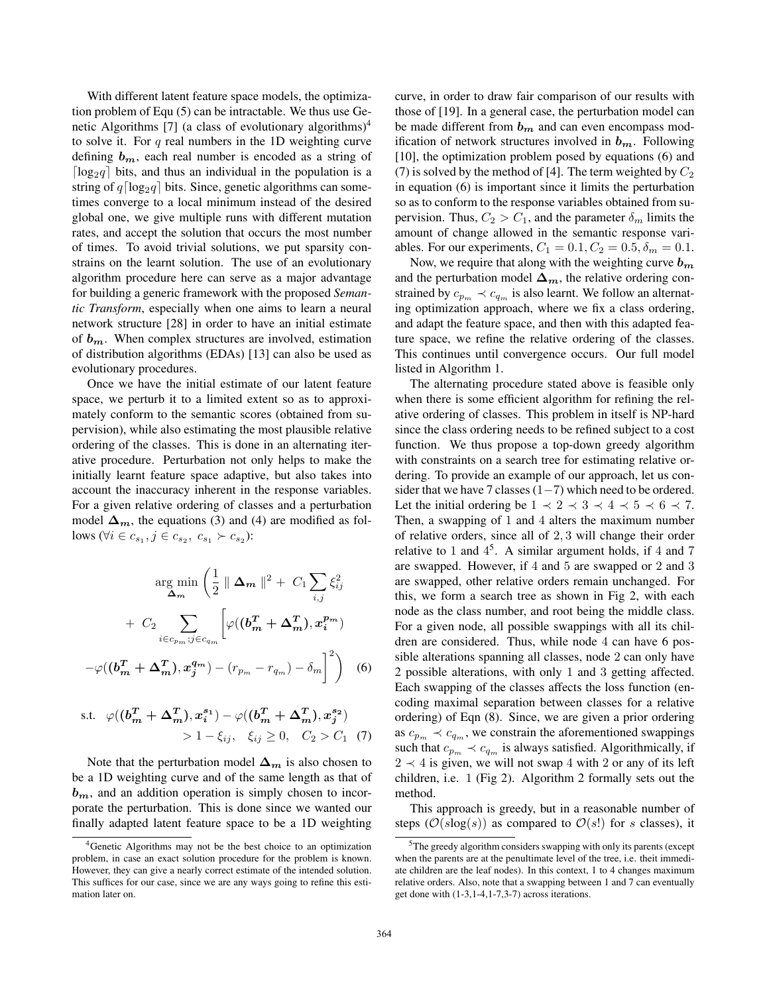With different latent feature space models, the optimization problem of Equ (5) can be intractable. We thus use Genetic Algorithms [7] (a class of evolutionary algorithms) $4$ to solve it. For q real numbers in the 1D weighting curve defining  $b_m$ , each real number is encoded as a string of  $\lceil \log_2 q \rceil$  bits, and thus an individual in the population is a string of  $q \lceil \log_2 q \rceil$  bits. Since, genetic algorithms can sometimes converge to a local minimum instead of the desired global one, we give multiple runs with different mutation rates, and accept the solution that occurs the most number of times. To avoid trivial solutions, we put sparsity constrains on the learnt solution. The use of an evolutionary algorithm procedure here can serve as a major advantage for building a generic framework with the proposed *Semantic Transform*, especially when one aims to learn a neural network structure [28] in order to have an initial estimate of *bm*. When complex structures are involved, estimation of distribution algorithms (EDAs) [13] can also be used as evolutionary procedures.

Once we have the initial estimate of our latent feature space, we perturb it to a limited extent so as to approximately conform to the semantic scores (obtained from supervision), while also estimating the most plausible relative ordering of the classes. This is done in an alternating iterative procedure. Perturbation not only helps to make the initially learnt feature space adaptive, but also takes into account the inaccuracy inherent in the response variables. For a given relative ordering of classes and a perturbation model  $\Delta_m$ , the equations (3) and (4) are modified as follows ( $\forall i \in c_{s_1}, j \in c_{s_2}, c_{s_1} \succ c_{s_2}$ ):

$$
\arg\min_{\Delta_m} \left( \frac{1}{2} \parallel \Delta_m \parallel^2 + C_1 \sum_{i,j} \xi_{ij}^2 + C_2 \sum_{i \in c_{pm} \, j \in c_{qm}} \left[ \varphi((\boldsymbol{b}_m^T + \Delta_m^T), \boldsymbol{x}_i^{p_m}) - \varphi((\boldsymbol{b}_m^T + \Delta_m^T), \boldsymbol{x}_j^{q_m}) - (r_{p_m} - r_{q_m}) - \delta_m \right]^2 \right) \tag{6}
$$

s.t. 
$$
\varphi((b_m^T + \Delta_m^T), x_i^{s_1}) - \varphi((b_m^T + \Delta_m^T), x_j^{s_2})
$$
  
> 1 -  $\xi_{ij}$ ,  $\xi_{ij} \ge 0$ ,  $C_2 > C_1$  (7)

Note that the perturbation model  $\Delta_m$  is also chosen to be a 1D weighting curve and of the same length as that of *bm*, and an addition operation is simply chosen to incorporate the perturbation. This is done since we wanted our finally adapted latent feature space to be a 1D weighting curve, in order to draw fair comparison of our results with those of [19]. In a general case, the perturbation model can be made different from *b<sup>m</sup>* and can even encompass modification of network structures involved in *bm*. Following [10], the optimization problem posed by equations (6) and (7) is solved by the method of [4]. The term weighted by  $C_2$ in equation (6) is important since it limits the perturbation so as to conform to the response variables obtained from supervision. Thus,  $C_2 > C_1$ , and the parameter  $\delta_m$  limits the amount of change allowed in the semantic response variables. For our experiments,  $C_1 = 0.1, C_2 = 0.5, \delta_m = 0.1$ .

Now, we require that along with the weighting curve *b<sup>m</sup>* and the perturbation model  $\Delta_m$ , the relative ordering constrained by  $c_{p_m} \prec c_{q_m}$  is also learnt. We follow an alternating optimization approach, where we fix a class ordering, and adapt the feature space, and then with this adapted feature space, we refine the relative ordering of the classes. This continues until convergence occurs. Our full model listed in Algorithm 1.

The alternating procedure stated above is feasible only when there is some efficient algorithm for refining the relative ordering of classes. This problem in itself is NP-hard since the class ordering needs to be refined subject to a cost function. We thus propose a top-down greedy algorithm with constraints on a search tree for estimating relative ordering. To provide an example of our approach, let us consider that we have 7 classes  $(1-7)$  which need to be ordered. Let the initial ordering be  $1 \prec 2 \prec 3 \prec 4 \prec 5 \prec 6 \prec 7$ . Then, a swapping of 1 and 4 alters the maximum number of relative orders, since all of 2, 3 will change their order relative to 1 and  $4^5$ . A similar argument holds, if 4 and 7 are swapped. However, if 4 and 5 are swapped or 2 and 3 are swapped, other relative orders remain unchanged. For this, we form a search tree as shown in Fig 2, with each node as the class number, and root being the middle class. For a given node, all possible swappings with all its children are considered. Thus, while node 4 can have 6 possible alterations spanning all classes, node 2 can only have 2 possible alterations, with only 1 and 3 getting affected. Each swapping of the classes affects the loss function (encoding maximal separation between classes for a relative ordering) of Eqn (8). Since, we are given a prior ordering as  $c_{p_m} \prec c_{q_m}$ , we constrain the aforementioned swappings such that  $c_{p_m} \prec c_{q_m}$  is always satisfied. Algorithmically, if  $2 \prec 4$  is given, we will not swap 4 with 2 or any of its left children, i.e. 1 (Fig 2). Algorithm 2 formally sets out the method.

This approach is greedy, but in a reasonable number of steps ( $\mathcal{O}(s \log(s))$ ) as compared to  $\mathcal{O}(s!)$  for s classes), it

<sup>4</sup>Genetic Algorithms may not be the best choice to an optimization problem, in case an exact solution procedure for the problem is known. However, they can give a nearly correct estimate of the intended solution. This suffices for our case, since we are any ways going to refine this estimation later on.

<sup>5</sup>The greedy algorithm considers swapping with only its parents (except when the parents are at the penultimate level of the tree, i.e. theit immediate children are the leaf nodes). In this context, 1 to 4 changes maximum relative orders. Also, note that a swapping between 1 and 7 can eventually get done with (1-3,1-4,1-7,3-7) across iterations.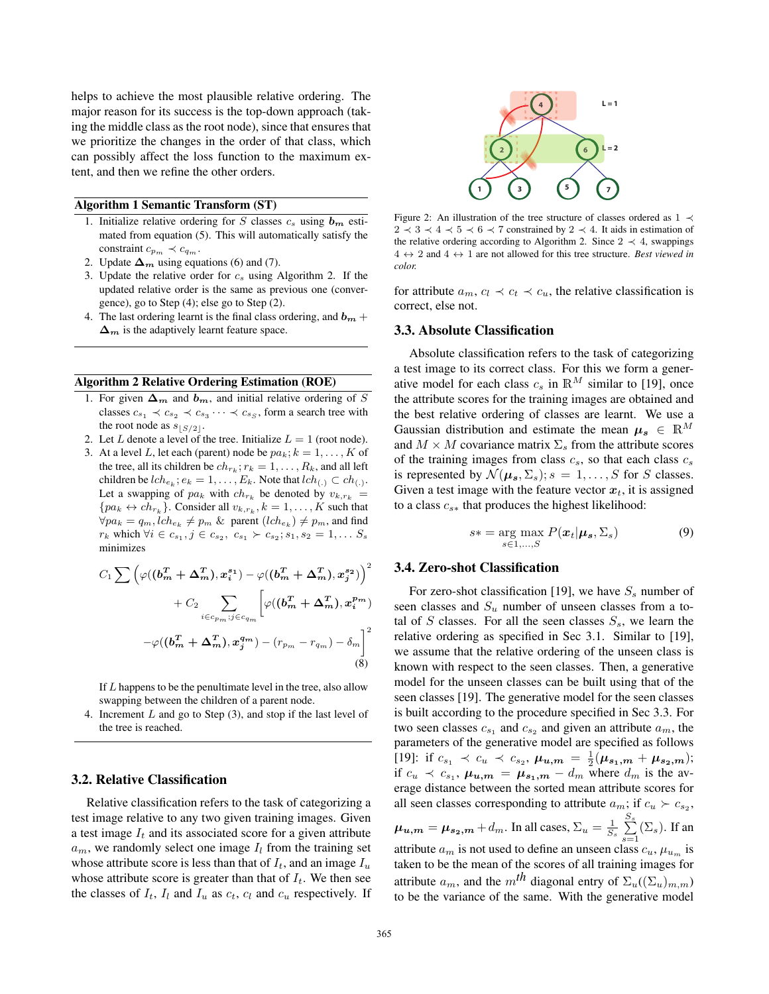helps to achieve the most plausible relative ordering. The major reason for its success is the top-down approach (taking the middle class as the root node), since that ensures that we prioritize the changes in the order of that class, which can possibly affect the loss function to the maximum extent, and then we refine the other orders.

#### Algorithm 1 Semantic Transform (ST)

- 1. Initialize relative ordering for  $S$  classes  $c_s$  using  $\boldsymbol{b_m}$  estimated from equation (5). This will automatically satisfy the constraint  $c_{p_m} \prec c_{q_m}$ .
- 2. Update  $\Delta_m$  using equations (6) and (7).
- 3. Update the relative order for  $c_s$  using Algorithm 2. If the updated relative order is the same as previous one (convergence), go to Step (4); else go to Step (2).
- 4. The last ordering learnt is the final class ordering, and  **+**  $\Delta_m$  is the adaptively learnt feature space.

#### Algorithm 2 Relative Ordering Estimation (ROE)

- 1. For given  $\Delta_m$  and  $b_m$ , and initial relative ordering of S classes  $c_{s_1} \prec c_{s_2} \prec c_{s_3} \cdots \prec c_{s_S}$ , form a search tree with the root node as  $s_{\lfloor S/2 \rfloor}$ .
- 2. Let L denote a level of the tree. Initialize  $L = 1$  (root node).
- 3. At a level L, let each (parent) node be  $pa_k$ ;  $k = 1, ..., K$  of the tree, all its children be  $ch_{r_k}$ ;  $r_k = 1, \ldots, R_k$ , and all left children be  $lch_{e_k}$ ;  $e_k = 1, \ldots, E_k$ . Note that  $lch_{(.)} \subset ch_{(.)}$ . Let a swapping of  $pa_k$  with  $ch_{r_k}$  be denoted by  $v_{k,r_k}$  =  ${pa_k \leftrightarrow ch_{r_k}}$ . Consider all  $v_{k,r_k}, k = 1, \ldots, K$  such that  $\forall pa_k = q_m, lch_{e_k} \neq p_m \&$  parent  $(lch_{e_k}) \neq p_m$ , and find  $r_k$  which  $\forall i \in c_{s_1}, j \in c_{s_2}, c_{s_1} \succ c_{s_2}; s_1, s_2 = 1, \ldots S_s$ minimizes

$$
C_1 \sum \left( \varphi((\boldsymbol{b}_m^T + \boldsymbol{\Delta}_m^T), \boldsymbol{x}_i^{s_1}) - \varphi((\boldsymbol{b}_m^T + \boldsymbol{\Delta}_m^T), \boldsymbol{x}_j^{s_2}) \right)^2
$$

$$
+ C_2 \sum_{i \in c_{p_m}; j \in c_{q_m}} \left[ \varphi((\boldsymbol{b}_m^T + \boldsymbol{\Delta}_m^T), \boldsymbol{x}_i^{p_m}) - \varphi((\boldsymbol{b}_m^T + \boldsymbol{\Delta}_m^T), \boldsymbol{x}_j^{p_m}) - (r_{p_m} - r_{q_m}) - \delta_m \right]^2
$$
(8)

If L happens to be the penultimate level in the tree, also allow swapping between the children of a parent node.

4. Increment L and go to Step (3), and stop if the last level of the tree is reached.

## 3.2. Relative Classification

Relative classification refers to the task of categorizing a test image relative to any two given training images. Given a test image  $I_t$  and its associated score for a given attribute  $a_m$ , we randomly select one image  $I_l$  from the training set whose attribute score is less than that of  $I_t$ , and an image  $I_u$ whose attribute score is greater than that of  $I_t$ . We then see the classes of  $I_t$ ,  $I_l$  and  $I_u$  as  $c_t$ ,  $c_l$  and  $c_u$  respectively. If



Figure 2: An illustration of the tree structure of classes ordered as  $1 \prec$  $2 \prec 3 \prec 4 \prec 5 \prec 6 \prec 7$  constrained by  $2 \prec 4$ . It aids in estimation of the relative ordering according to Algorithm 2. Since  $2 \prec 4$ , swappings 4 ↔ 2 and 4 ↔ 1 are not allowed for this tree structure. *Best viewed in color.*

for attribute  $a_m, c_l \prec c_t \prec c_u$ , the relative classification is correct, else not.

## 3.3. Absolute Classification

Absolute classification refers to the task of categorizing a test image to its correct class. For this we form a generative model for each class  $c_s$  in  $\mathbb{R}^M$  similar to [19], once the attribute scores for the training images are obtained and the best relative ordering of classes are learnt. We use a Gaussian distribution and estimate the mean  $\mu_s \in \mathbb{R}^M$ and  $M \times M$  covariance matrix  $\Sigma<sub>s</sub>$  from the attribute scores of the training images from class  $c_s$ , so that each class  $c_s$ is represented by  $\mathcal{N}(\boldsymbol{\mu_s}, \Sigma_s); s = 1, \ldots, S$  for S classes. Given a test image with the feature vector  $x_t$ , it is assigned to a class  $c_{s*}$  that produces the highest likelihood:

$$
s* = \underset{s \in 1,...,S}{\arg \max} P(\boldsymbol{x}_t | \boldsymbol{\mu_s}, \boldsymbol{\Sigma_s})
$$
(9)

## 3.4. Zero-shot Classification

For zero-shot classification [19], we have  $S<sub>s</sub>$  number of seen classes and  $S_u$  number of unseen classes from a total of S classes. For all the seen classes  $S_s$ , we learn the relative ordering as specified in Sec 3.1. Similar to [19], we assume that the relative ordering of the unseen class is known with respect to the seen classes. Then, a generative model for the unseen classes can be built using that of the seen classes [19]. The generative model for the seen classes is built according to the procedure specified in Sec 3.3. For two seen classes  $c_{s_1}$  and  $c_{s_2}$  and given an attribute  $a_m$ , the parameters of the generative model are specified as follows [19]: if  $c_{s_1} \prec c_u \prec c_{s_2}, \mu_{u,m} = \frac{1}{2}(\mu_{s_1,m} + \mu_{s_2,m});$ <br>if  $c_{s_1} \prec c_u \prec c_{s_2}, \mu_{u,m} = d$  where d is the syif  $c_u \prec c_{s_1}$ ,  $\mu_{u,m} = \mu_{s_1,m} - d_m$  where  $d_m$  is the average distance between the sorted mean attribute scores for all seen classes corresponding to attribute  $a_m$ ; if  $c_u \succ c_{s_2}$ ,  $\mu_{u,m} = \mu_{s_2,m} + d_m$ . In all cases,  $\Sigma_u = \frac{1}{S_s} \sum_{s=1}^{S_s}$  $S_{s}$  $\sum_{s=1}^{\infty}$  ( $\Sigma_s$ ). If an attribute  $a_m$  is not used to define an unseen class  $c_u$ ,  $\mu_{u_m}$  is taken to be the mean of the scores of all training images for attribute  $a_m$ , and the m<sup>th</sup> diagonal entry of  $\Sigma_u((\Sigma_u)_{m,m})$ to be the variance of the same. With the generative model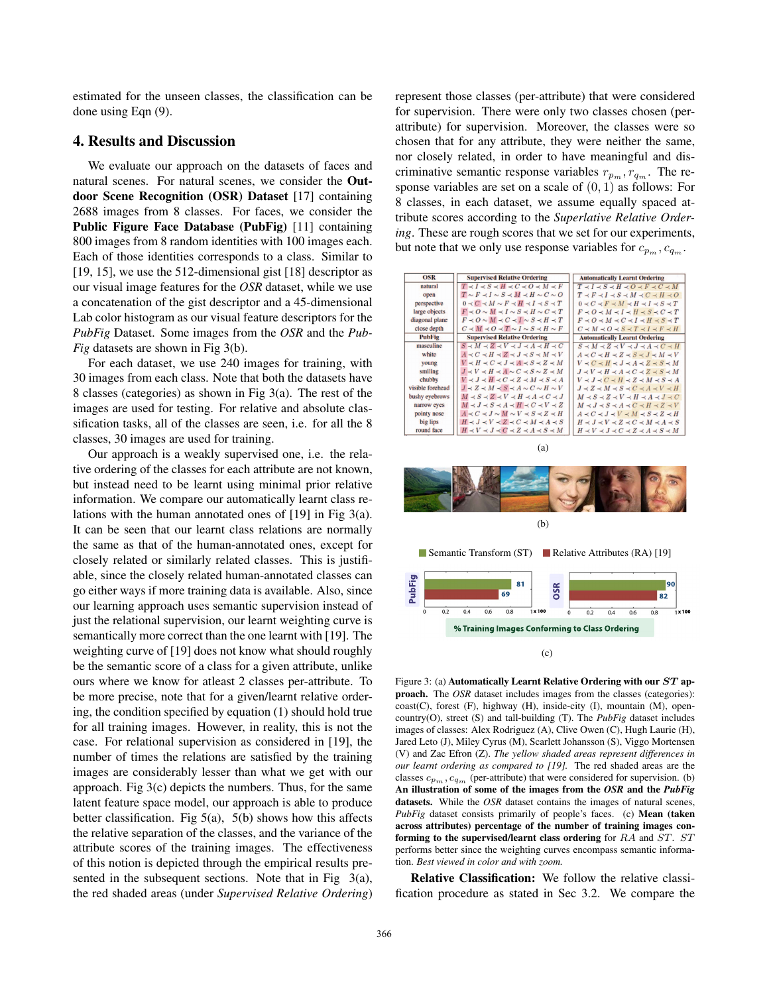estimated for the unseen classes, the classification can be done using Eqn (9).

# 4. Results and Discussion

We evaluate our approach on the datasets of faces and natural scenes. For natural scenes, we consider the Outdoor Scene Recognition (OSR) Dataset [17] containing 2688 images from 8 classes. For faces, we consider the Public Figure Face Database (PubFig) [11] containing 800 images from 8 random identities with 100 images each. Each of those identities corresponds to a class. Similar to [19, 15], we use the 512-dimensional gist [18] descriptor as our visual image features for the *OSR* dataset, while we use a concatenation of the gist descriptor and a 45-dimensional Lab color histogram as our visual feature descriptors for the *PubFig* Dataset. Some images from the *OSR* and the *Pub-Fig* datasets are shown in Fig 3(b).

For each dataset, we use 240 images for training, with 30 images from each class. Note that both the datasets have 8 classes (categories) as shown in Fig 3(a). The rest of the images are used for testing. For relative and absolute classification tasks, all of the classes are seen, i.e. for all the 8 classes, 30 images are used for training.

Our approach is a weakly supervised one, i.e. the relative ordering of the classes for each attribute are not known, but instead need to be learnt using minimal prior relative information. We compare our automatically learnt class relations with the human annotated ones of [19] in Fig 3(a). It can be seen that our learnt class relations are normally the same as that of the human-annotated ones, except for closely related or similarly related classes. This is justifiable, since the closely related human-annotated classes can go either ways if more training data is available. Also, since our learning approach uses semantic supervision instead of just the relational supervision, our learnt weighting curve is semantically more correct than the one learnt with [19]. The weighting curve of [19] does not know what should roughly be the semantic score of a class for a given attribute, unlike ours where we know for atleast 2 classes per-attribute. To be more precise, note that for a given/learnt relative ordering, the condition specified by equation (1) should hold true for all training images. However, in reality, this is not the case. For relational supervision as considered in [19], the number of times the relations are satisfied by the training images are considerably lesser than what we get with our approach. Fig 3(c) depicts the numbers. Thus, for the same latent feature space model, our approach is able to produce better classification. Fig  $5(a)$ ,  $5(b)$  shows how this affects the relative separation of the classes, and the variance of the attribute scores of the training images. The effectiveness of this notion is depicted through the empirical results presented in the subsequent sections. Note that in Fig 3(a), the red shaded areas (under *Supervised Relative Ordering*)

represent those classes (per-attribute) that were considered for supervision. There were only two classes chosen (perattribute) for supervision. Moreover, the classes were so chosen that for any attribute, they were neither the same, nor closely related, in order to have meaningful and discriminative semantic response variables  $r_{p_m}, r_{q_m}$ . The response variables are set on a scale of  $(0, 1)$  as follows: For 8 classes, in each dataset, we assume equally spaced attribute scores according to the *Superlative Relative Ordering*. These are rough scores that we set for our experiments, but note that we only use response variables for  $c_{p_m}, c_{q_m}$ .

| OSR              | <b>Supervised Relative Ordering</b>                         | <b>Automatically Learnt Ordering</b>                        |
|------------------|-------------------------------------------------------------|-------------------------------------------------------------|
| natural          | $T \prec I \prec S \prec H \prec C \prec O \prec M \prec F$ | $T \prec I \prec S \prec H \prec O \prec F \prec C \prec M$ |
| open             | $T \sim F \prec I \sim S \prec M \prec H \sim C \sim O$     | $T \prec F \prec I \prec S \prec M \prec C \prec H \prec O$ |
| perspective      | $0 \prec C \prec M \sim F \prec H \prec I \prec S \prec T$  | $0 \prec C \prec F \prec M \prec H \prec I \prec S \prec T$ |
| large objects    | $F \prec O \sim M \prec I \sim S \prec H \sim C \prec T$    | $F \prec O \prec M \prec I \prec H \prec S \prec C \prec T$ |
| diagonal plane   | $F \prec O \sim M \prec C \prec I \sim S \prec H \prec T$   | $F \prec O \prec M \prec C \prec I \prec H \prec S \prec T$ |
| close depth      | $C \prec M \prec O \prec T \sim I \sim S \prec H \sim F$    | $C \prec M \prec O \prec S \prec T \prec I \prec F \prec H$ |
| <b>PubFig</b>    | <b>Supervised Relative Ordering</b>                         | <b>Automatically Learnt Ordering</b>                        |
| masculine        | $S \prec M \prec Z \prec V \prec J \prec A \prec H \prec C$ | $S \prec M \prec Z \prec V \prec J \prec A \prec C \prec H$ |
| white            | $A \prec C \prec H \prec Z \prec J \prec S \prec M \prec V$ | $A \prec C \prec H \prec Z \prec S \prec J \prec M \prec V$ |
| young            | $V \prec H \prec C \prec J \prec A \prec S \prec Z \prec M$ | $V \prec C \prec H \prec J \prec A \prec Z \prec S \prec M$ |
| smiling          | $J \prec V \prec H \prec A \sim C \prec S \sim Z \prec M$   | $J \prec V \prec H \prec A \prec C \prec Z \prec S \prec M$ |
| chubby           | $V \prec J \prec H \prec C \prec Z \prec M \prec S \prec A$ | $V \prec J \prec C \prec H \prec Z \prec M \prec S \prec A$ |
| visible forehead | $J \prec Z \prec M \prec S \prec A \sim C \sim H \sim V$    | $J \prec Z \prec M \prec S \prec C \prec A \prec V \prec H$ |
| bushy evebrows   | $M \prec S \prec Z \prec V \prec H \prec A \prec C \prec J$ | $M \prec S \prec Z \prec V \prec H \prec A \prec J \prec C$ |
| narrow eyes      | $M \prec J \prec S \prec A \prec H \prec C \prec V \prec Z$ | $M \prec J \prec S \prec A \prec C \prec H \prec Z \prec V$ |
| pointy nose      | $A \prec C \prec J \sim M \sim V \prec S \prec Z \prec H$   | $A \prec C \prec J \prec V \prec M \prec S \prec Z \prec H$ |
| big lips         | $H \prec J \prec V \prec Z \prec C \prec M \prec A \prec S$ | $H \prec J \prec V \prec Z \prec C \prec M \prec A \prec S$ |
| round face       | $H \prec V \prec J \prec C \prec Z \prec A \prec S \prec M$ | $H \prec V \prec J \prec C \prec Z \prec A \prec S \prec M$ |



Figure 3: (a) Automatically Learnt Relative Ordering with our *ST* approach. The *OSR* dataset includes images from the classes (categories): coast(C), forest (F), highway (H), inside-city (I), mountain (M), opencountry(O), street (S) and tall-building (T). The *PubFig* dataset includes images of classes: Alex Rodriguez (A), Clive Owen (C), Hugh Laurie (H), Jared Leto (J), Miley Cyrus (M), Scarlett Johansson (S), Viggo Mortensen (V) and Zac Efron (Z). *The yellow shaded areas represent differences in our learnt ordering as compared to [19].* The red shaded areas are the classes  $c_{p_m}$ ,  $c_{q_m}$  (per-attribute) that were considered for supervision. (b) An illustration of some of the images from the *OSR* and the *PubFig* datasets. While the *OSR* dataset contains the images of natural scenes, *PubFig* dataset consists primarily of people's faces. (c) Mean (taken across attributes) percentage of the number of training images conforming to the supervised/learnt class ordering for  $RA$  and  $ST$ .  $ST$ performs better since the weighting curves encompass semantic information. *Best viewed in color and with zoom.*

Relative Classification: We follow the relative classification procedure as stated in Sec 3.2. We compare the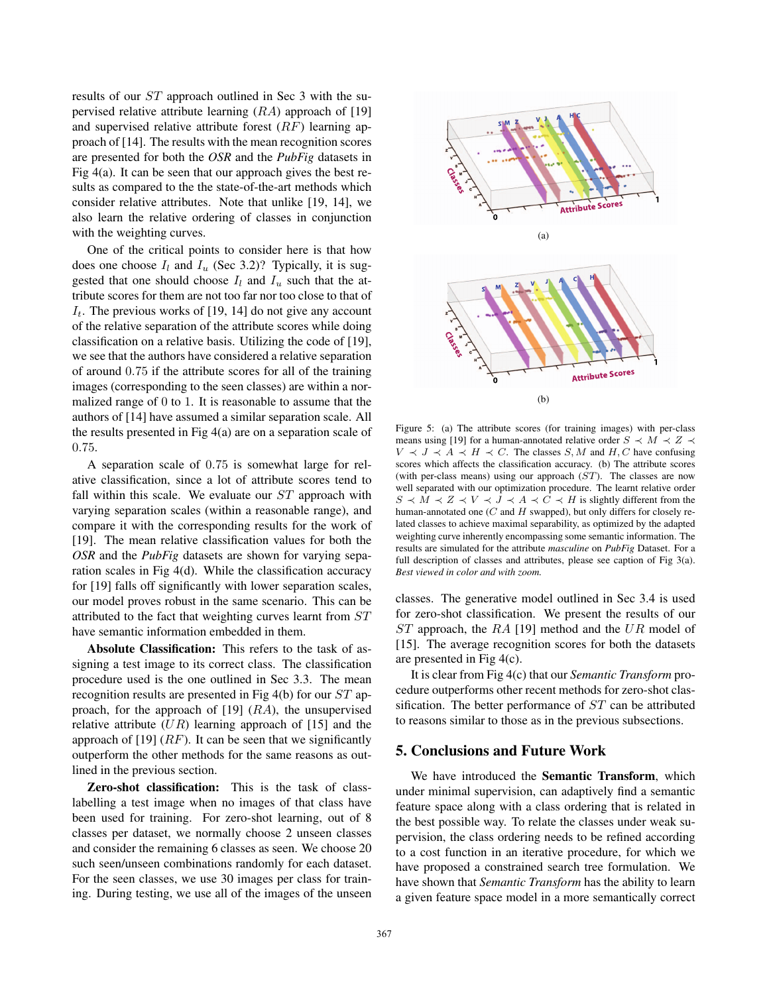results of our ST approach outlined in Sec 3 with the supervised relative attribute learning  $(RA)$  approach of [19] and supervised relative attribute forest  $(RF)$  learning approach of [14]. The results with the mean recognition scores are presented for both the *OSR* and the *PubFig* datasets in Fig  $4(a)$ . It can be seen that our approach gives the best results as compared to the the state-of-the-art methods which consider relative attributes. Note that unlike [19, 14], we also learn the relative ordering of classes in conjunction with the weighting curves.

One of the critical points to consider here is that how does one choose  $I_l$  and  $I_u$  (Sec 3.2)? Typically, it is suggested that one should choose  $I_l$  and  $I_u$  such that the attribute scores for them are not too far nor too close to that of  $I_t$ . The previous works of [19, 14] do not give any account of the relative separation of the attribute scores while doing classification on a relative basis. Utilizing the code of [19], we see that the authors have considered a relative separation of around 0.75 if the attribute scores for all of the training images (corresponding to the seen classes) are within a normalized range of 0 to 1. It is reasonable to assume that the authors of [14] have assumed a similar separation scale. All the results presented in Fig 4(a) are on a separation scale of 0.75.

A separation scale of 0.75 is somewhat large for relative classification, since a lot of attribute scores tend to fall within this scale. We evaluate our  $ST$  approach with varying separation scales (within a reasonable range), and compare it with the corresponding results for the work of [19]. The mean relative classification values for both the *OSR* and the *PubFig* datasets are shown for varying separation scales in Fig 4(d). While the classification accuracy for [19] falls off significantly with lower separation scales, our model proves robust in the same scenario. This can be attributed to the fact that weighting curves learnt from ST have semantic information embedded in them.

Absolute Classification: This refers to the task of assigning a test image to its correct class. The classification procedure used is the one outlined in Sec 3.3. The mean recognition results are presented in Fig 4(b) for our ST approach, for the approach of  $[19]$   $(RA)$ , the unsupervised relative attribute  $(UR)$  learning approach of [15] and the approach of [19]  $(RF)$ . It can be seen that we significantly outperform the other methods for the same reasons as outlined in the previous section.

Zero-shot classification: This is the task of classlabelling a test image when no images of that class have been used for training. For zero-shot learning, out of 8 classes per dataset, we normally choose 2 unseen classes and consider the remaining 6 classes as seen. We choose 20 such seen/unseen combinations randomly for each dataset. For the seen classes, we use 30 images per class for training. During testing, we use all of the images of the unseen



Figure 5: (a) The attribute scores (for training images) with per-class means using [19] for a human-annotated relative order  $S \prec M \prec Z \prec$  $V \prec J \prec A \prec H \prec C$ . The classes S, M and H, C have confusing scores which affects the classification accuracy. (b) The attribute scores (with per-class means) using our approach  $(ST)$ . The classes are now well separated with our optimization procedure. The learnt relative order  $S \prec M \prec Z \prec V \prec J \prec A \prec C \prec H$  is slightly different from the human-annotated one  $(C \text{ and } H \text{ swapped})$ , but only differs for closely related classes to achieve maximal separability, as optimized by the adapted weighting curve inherently encompassing some semantic information. The results are simulated for the attribute *masculine* on *PubFig* Dataset. For a full description of classes and attributes, please see caption of Fig 3(a). *Best viewed in color and with zoom.*

classes. The generative model outlined in Sec 3.4 is used for zero-shot classification. We present the results of our ST approach, the RA [19] method and the UR model of [15]. The average recognition scores for both the datasets are presented in Fig 4(c).

It is clear from Fig 4(c) that our *Semantic Transform* procedure outperforms other recent methods for zero-shot classification. The better performance of ST can be attributed to reasons similar to those as in the previous subsections.

## 5. Conclusions and Future Work

We have introduced the Semantic Transform, which under minimal supervision, can adaptively find a semantic feature space along with a class ordering that is related in the best possible way. To relate the classes under weak supervision, the class ordering needs to be refined according to a cost function in an iterative procedure, for which we have proposed a constrained search tree formulation. We have shown that *Semantic Transform* has the ability to learn a given feature space model in a more semantically correct